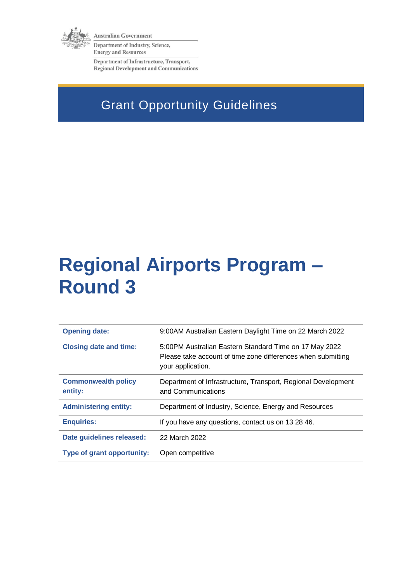

**Australian Government** 

Department of Industry, Science, **Energy and Resources** 

Department of Infrastructure, Transport, **Regional Development and Communications** 

# Grant Opportunity Guidelines

# **Regional Airports Program – Round 3**

| <b>Opening date:</b>                  | 9:00AM Australian Eastern Daylight Time on 22 March 2022                                                                                    |
|---------------------------------------|---------------------------------------------------------------------------------------------------------------------------------------------|
| <b>Closing date and time:</b>         | 5:00PM Australian Eastern Standard Time on 17 May 2022<br>Please take account of time zone differences when submitting<br>your application. |
| <b>Commonwealth policy</b><br>entity: | Department of Infrastructure, Transport, Regional Development<br>and Communications                                                         |
| <b>Administering entity:</b>          | Department of Industry, Science, Energy and Resources                                                                                       |
| <b>Enquiries:</b>                     | If you have any questions, contact us on 13 28 46.                                                                                          |
| Date guidelines released:             | 22 March 2022                                                                                                                               |
| Type of grant opportunity:            | Open competitive                                                                                                                            |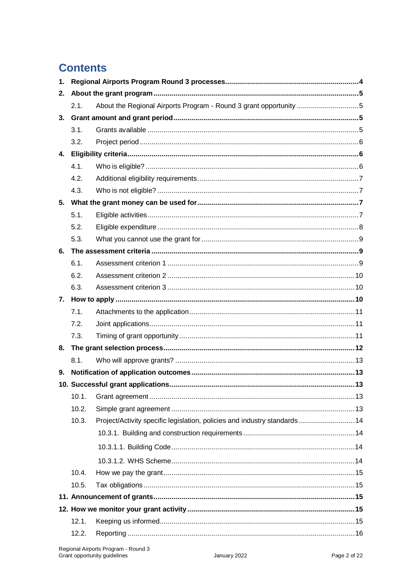# **Contents**

| 1. |       |                                                                            |  |
|----|-------|----------------------------------------------------------------------------|--|
| 2. |       |                                                                            |  |
|    | 2.1.  | About the Regional Airports Program - Round 3 grant opportunity 5          |  |
| 3. |       |                                                                            |  |
|    | 3.1.  |                                                                            |  |
|    | 3.2.  |                                                                            |  |
| 4. |       |                                                                            |  |
|    | 4.1.  |                                                                            |  |
|    | 4.2.  |                                                                            |  |
|    | 4.3.  |                                                                            |  |
|    |       |                                                                            |  |
|    | 5.1.  |                                                                            |  |
|    | 5.2.  |                                                                            |  |
|    | 5.3.  |                                                                            |  |
| 6. |       |                                                                            |  |
|    | 6.1.  |                                                                            |  |
|    | 6.2.  |                                                                            |  |
|    | 6.3.  |                                                                            |  |
|    |       |                                                                            |  |
|    | 7.1.  |                                                                            |  |
|    | 7.2.  |                                                                            |  |
|    | 7.3.  |                                                                            |  |
| 8. |       |                                                                            |  |
|    | 8.1.  |                                                                            |  |
| 9. |       |                                                                            |  |
|    |       |                                                                            |  |
|    | 10.1. |                                                                            |  |
|    | 10.2. |                                                                            |  |
|    | 10.3. | Project/Activity specific legislation, policies and industry standards  14 |  |
|    |       |                                                                            |  |
|    |       |                                                                            |  |
|    |       |                                                                            |  |
|    | 10.4. |                                                                            |  |
|    | 10.5. |                                                                            |  |
|    |       |                                                                            |  |
|    |       |                                                                            |  |
|    |       |                                                                            |  |
|    | 12.1. |                                                                            |  |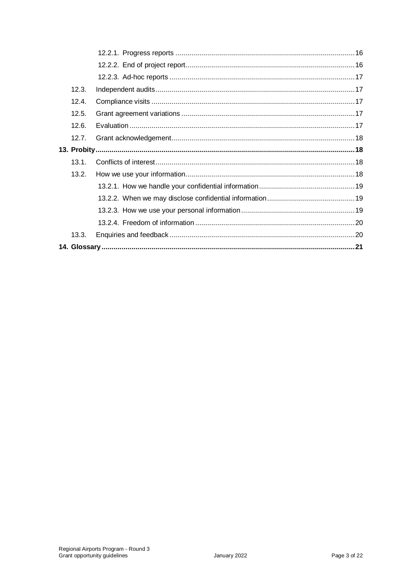|  | 12.3. |  |  |
|--|-------|--|--|
|  | 12.4. |  |  |
|  | 12.5. |  |  |
|  | 12.6. |  |  |
|  | 12.7. |  |  |
|  |       |  |  |
|  | 13.1. |  |  |
|  | 13.2. |  |  |
|  |       |  |  |
|  |       |  |  |
|  |       |  |  |
|  |       |  |  |
|  | 13.3. |  |  |
|  |       |  |  |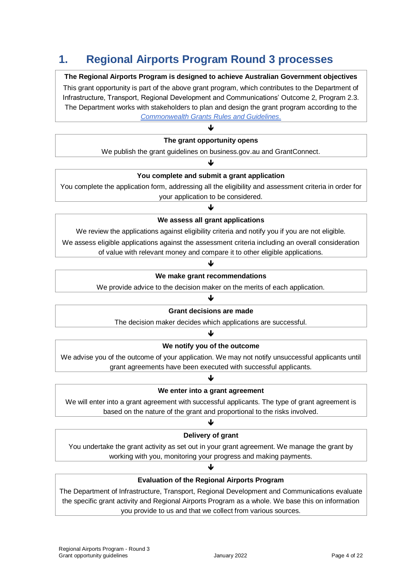# **1. Regional Airports Program Round 3 processes**

**The Regional Airports Program is designed to achieve Australian Government objectives**

This grant opportunity is part of the above grant program, which contributes to the Department of Infrastructure, Transport, Regional Development and Communications' Outcome 2, Program 2.3. The Department works with stakeholders to plan and design the grant program according to the *[Commonwealth Grants Rules and Guidelines](https://www.finance.gov.au/government/commonwealth-grants/commonwealth-grants-rules-guidelines)*.

### Ψ **The grant opportunity opens**

We publish the grant guidelines on business.gov.au and GrantConnect.

# ♦ **You complete and submit a grant application**

You complete the application form, addressing all the eligibility and assessment criteria in order for your application to be considered.

## J **We assess all grant applications**

We review the applications against eligibility criteria and notify you if you are not eligible.

We assess eligible applications against the assessment criteria including an overall consideration of value with relevant money and compare it to other eligible applications.

#### ብ

#### **We make grant recommendations**

We provide advice to the decision maker on the merits of each application.

#### ♦

#### **Grant decisions are made**

The decision maker decides which applications are successful.

#### Ψ

#### **We notify you of the outcome**

We advise you of the outcome of your application. We may not notify unsuccessful applicants until grant agreements have been executed with successful applicants.

#### J

#### **We enter into a grant agreement**

We will enter into a grant agreement with successful applicants. The type of grant agreement is based on the nature of the grant and proportional to the risks involved.

# ♦

#### **Delivery of grant**

You undertake the grant activity as set out in your grant agreement. We manage the grant by working with you, monitoring your progress and making payments.

# J **Evaluation of the Regional Airports Program**

The Department of Infrastructure, Transport, Regional Development and Communications evaluate the specific grant activity and Regional Airports Program as a whole. We base this on information you provide to us and that we collect from various sources.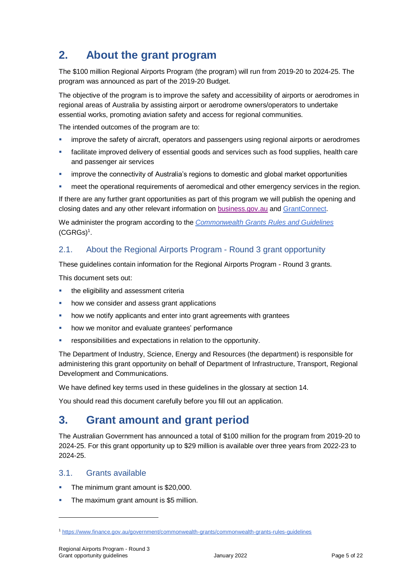# **2. About the grant program**

The \$100 million Regional Airports Program (the program) will run from 2019-20 to 2024-25. The program was announced as part of the 2019-20 Budget.

The objective of the program is to improve the safety and accessibility of airports or aerodromes in regional areas of Australia by assisting airport or aerodrome owners/operators to undertake essential works, promoting aviation safety and access for regional communities.

The intended outcomes of the program are to:

- **improve the safety of aircraft, operators and passengers using regional airports or aerodromes**
- facilitate improved delivery of essential goods and services such as food supplies, health care and passenger air services
- **EXEDENT** improve the connectivity of Australia's regions to domestic and global market opportunities
- meet the operational requirements of aeromedical and other emergency services in the region.

If there are any further grant opportunities as part of this program we will publish the opening and closing dates and any other relevant information o[n business.gov.au](https://business.gov.au/grants-and-programs/regional-airports-program-round-3) and [GrantConnect.](https://www.grants.gov.au/)

We administer the program according to the *[Commonwealth Grants Rules and Guidelines](https://www.finance.gov.au/government/commonwealth-grants/commonwealth-grants-rules-guidelines)*  $(CGRGs)^1$  $(CGRGs)^1$ .

# 2.1. About the Regional Airports Program - Round 3 grant opportunity

These guidelines contain information for the Regional Airports Program - Round 3 grants.

This document sets out:

- the eligibility and assessment criteria
- how we consider and assess grant applications
- how we notify applicants and enter into grant agreements with grantees
- how we monitor and evaluate grantees' performance
- **•** responsibilities and expectations in relation to the opportunity.

The Department of Industry, Science, Energy and Resources (the department) is responsible for administering this grant opportunity on behalf of Department of Infrastructure, Transport, Regional Development and Communications.

We have defined key terms used in these guidelines in the glossary at section [14.](#page-20-0)

You should read this document carefully before you fill out an application.

# **3. Grant amount and grant period**

The Australian Government has announced a total of \$100 million for the program from 2019-20 to 2024-25. For this grant opportunity up to \$29 million is available over three years from 2022-23 to 2024-25.

### 3.1. Grants available

- The minimum grant amount is \$20,000.
- The maximum grant amount is \$5 million.

<sup>1</sup> <https://www.finance.gov.au/government/commonwealth-grants/commonwealth-grants-rules-guidelines>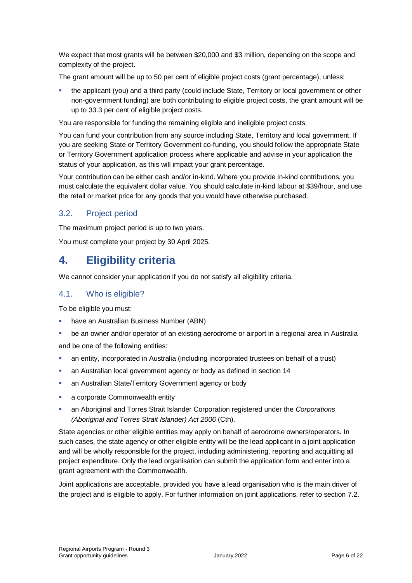We expect that most grants will be between \$20,000 and \$3 million, depending on the scope and complexity of the project.

The grant amount will be up to 50 per cent of eligible project costs (grant percentage), unless:

 the applicant (you) and a third party (could include State, Territory or local government or other non-government funding) are both contributing to eligible project costs, the grant amount will be up to 33.3 per cent of eligible project costs.

You are responsible for funding the remaining eligible and ineligible project costs.

You can fund your contribution from any source including State, Territory and local government. If you are seeking State or Territory Government co-funding, you should follow the appropriate State or Territory Government application process where applicable and advise in your application the status of your application, as this will impact your grant percentage.

Your contribution can be either cash and/or in-kind. Where you provide in-kind contributions, you must calculate the equivalent dollar value. You should calculate in-kind labour at \$39/hour, and use the retail or market price for any goods that you would have otherwise purchased.

### 3.2. Project period

The maximum project period is up to two years.

You must complete your project by 30 April 2025.

# **4. Eligibility criteria**

We cannot consider your application if you do not satisfy all eligibility criteria.

#### <span id="page-5-0"></span>4.1. Who is eligible?

To be eligible you must:

- have an Australian Business Number (ABN)
- be an owner and/or operator of an existing aerodrome or airport in a regional area in Australia and be one of the following entities:
- an entity, incorporated in Australia (including incorporated trustees on behalf of a trust)
- an Australian local government agency or body as defined in section [14](#page-20-0)
- an Australian State/Territory Government agency or body
- **a** corporate Commonwealth entity
- an Aboriginal and Torres Strait Islander Corporation registered under the *Corporations (Aboriginal and Torres Strait Islander) Act 2006* (Cth).

State agencies or other eligible entities may apply on behalf of aerodrome owners/operators. In such cases, the state agency or other eligible entity will be the lead applicant in a joint application and will be wholly responsible for the project, including administering, reporting and acquitting all project expenditure. Only the lead organisation can submit the application form and enter into a grant agreement with the Commonwealth.

Joint applications are acceptable, provided you have a lead organisation who is the main driver of the project and is eligible to apply. For further information on joint applications, refer to section [7.2.](#page-10-0)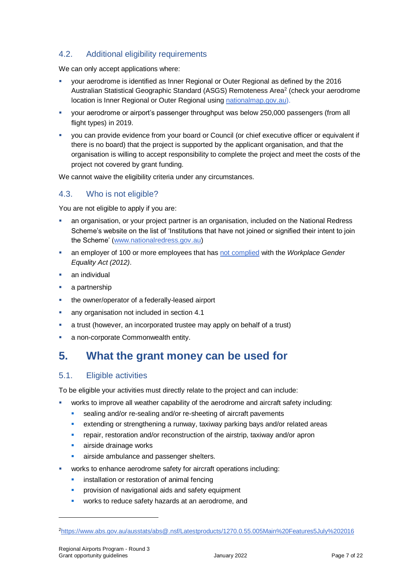# 4.2. Additional eligibility requirements

We can only accept applications where:

- your aerodrome is identified as Inner Regional or Outer Regional as defined by the 2016 Australian Statistical Geographic Standard (ASGS) Remoteness Area<sup>2</sup> (check your aerodrome location is Inner Regional or Outer Regional using [nationalmap.gov.au\)](https://www.nationalmap.gov.au/#share=s-wifQfDmGowsFat6PqE1YBDgQe9w).
- your aerodrome or airport's passenger throughput was below 250,000 passengers (from all flight types) in 2019.
- you can provide evidence from your board or Council (or chief executive officer or equivalent if there is no board) that the project is supported by the applicant organisation, and that the organisation is willing to accept responsibility to complete the project and meet the costs of the project not covered by grant funding.

We cannot waive the eligibility criteria under any circumstances.

# 4.3. Who is not eligible?

You are not eligible to apply if you are:

- an organisation, or your project partner is an organisation, included on the National Redress Scheme's website on the list of 'Institutions that have not joined or signified their intent to join the Scheme' [\(www.nationalredress.gov.au\)](http://www.nationalredress.gov.au/)
- an employer of 100 or more employees that has [not complied](https://www.wgea.gov.au/what-we-do/compliance-reporting/non-compliant-list) with the *Workplace Gender Equality Act (2012)*.
- an individual
- a partnership
- the owner/operator of a federally-leased airport
- any organisation not included in section [4.1](#page-5-0)
- a trust (however, an incorporated trustee may apply on behalf of a trust)
- a non-corporate Commonwealth entity.

# **5. What the grant money can be used for**

### <span id="page-6-0"></span>5.1. Eligible activities

To be eligible your activities must directly relate to the project and can include:

- works to improve all weather capability of the aerodrome and aircraft safety including:
	- **sealing and/or re-sealing and/or re-sheeting of aircraft pavements**
	- extending or strengthening a runway, taxiway parking bays and/or related areas
	- repair, restoration and/or reconstruction of the airstrip, taxiway and/or apron
	- **airside drainage works**
	- **a** airside ambulance and passenger shelters.
- works to enhance aerodrome safety for aircraft operations including:
	- **EXECUTE:** installation or restoration of animal fencing
	- provision of navigational aids and safety equipment
	- **works to reduce safety hazards at an aerodrome, and**

<sup>2</sup><https://www.abs.gov.au/ausstats/abs@.nsf/Latestproducts/1270.0.55.005Main%20Features5July%202016>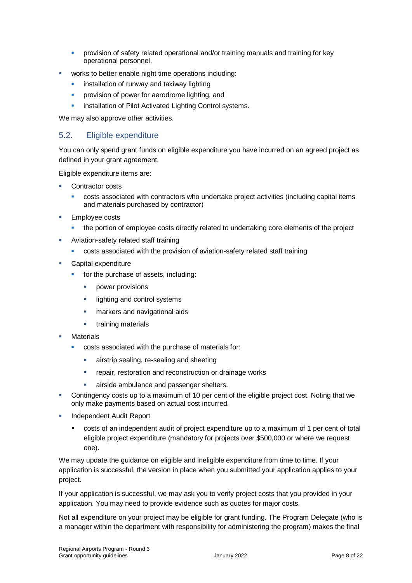- **•** provision of safety related operational and/or training manuals and training for key operational personnel.
- **works to better enable night time operations including:** 
	- **EXEC** installation of runway and taxiway lighting
	- **PEDECISE 10 FIGURE 10 FIGURE 10** FIGURE 100 FIGURE 100 FIGURE 100 FIGURE 100 FIGURE 100 FIGURE 100 FIGURE 100 FIGURE 100 FIGURE 100 FIGURE 100 FIGURE 100 FIGURE 100 FIGURE 100 FIGURE 100 FIGURE 100 FIGURE 100 FIGURE 100 F
	- **EXECTE 13 Installation of Pilot Activated Lighting Control systems.**

We may also approve other activities.

#### <span id="page-7-0"></span>5.2. Eligible expenditure

You can only spend grant funds on eligible expenditure you have incurred on an agreed project as defined in your grant agreement.

Eligible expenditure items are:

- Contractor costs
	- costs associated with contractors who undertake project activities (including capital items and materials purchased by contractor)
- **Employee costs** 
	- **the portion of employee costs directly related to undertaking core elements of the project**
- Aviation-safety related staff training
	- costs associated with the provision of aviation-safety related staff training
- Capital expenditure
	- for the purchase of assets, including:
		- **Provisions**
		- **Ilighting and control systems**
		- **n** markers and navigational aids
		- **training materials**
- **Materials** 
	- costs associated with the purchase of materials for:
		- airstrip sealing, re-sealing and sheeting
		- **•** repair, restoration and reconstruction or drainage works
		- airside ambulance and passenger shelters.
- Contingency costs up to a maximum of 10 per cent of the eligible project cost. Noting that we only make payments based on actual cost incurred.
- Independent Audit Report
	- costs of an independent audit of project expenditure up to a maximum of 1 per cent of total eligible project expenditure (mandatory for projects over \$500,000 or where we request one).

We may update the guidance on eligible and ineligible expenditure from time to time. If your application is successful, the version in place when you submitted your application applies to your project.

If your application is successful, we may ask you to verify project costs that you provided in your application. You may need to provide evidence such as quotes for major costs.

Not all expenditure on your project may be eligible for grant funding. The Program Delegate (who is a manager within the department with responsibility for administering the program) makes the final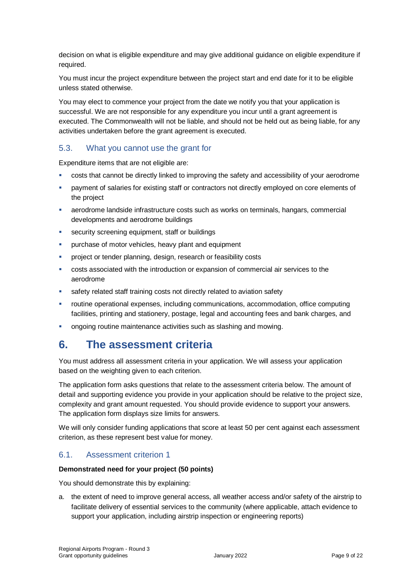decision on what is eligible expenditure and may give additional guidance on eligible expenditure if required.

You must incur the project expenditure between the project start and end date for it to be eligible unless stated otherwise.

You may elect to commence your project from the date we notify you that your application is successful. We are not responsible for any expenditure you incur until a grant agreement is executed. The Commonwealth will not be liable, and should not be held out as being liable, for any activities undertaken before the grant agreement is executed.

### 5.3. What you cannot use the grant for

Expenditure items that are not eligible are:

- costs that cannot be directly linked to improving the safety and accessibility of your aerodrome
- payment of salaries for existing staff or contractors not directly employed on core elements of the project
- aerodrome landside infrastructure costs such as works on terminals, hangars, commercial developments and aerodrome buildings
- **EXECURITY SCREENING EQUIPMENT, Staff or buildings**
- purchase of motor vehicles, heavy plant and equipment
- project or tender planning, design, research or feasibility costs
- costs associated with the introduction or expansion of commercial air services to the aerodrome
- safety related staff training costs not directly related to aviation safety
- routine operational expenses, including communications, accommodation, office computing facilities, printing and stationery, postage, legal and accounting fees and bank charges, and
- ongoing routine maintenance activities such as slashing and mowing.

# **6. The assessment criteria**

You must address all assessment criteria in your application. We will assess your application based on the weighting given to each criterion.

The application form asks questions that relate to the assessment criteria below. The amount of detail and supporting evidence you provide in your application should be relative to the project size, complexity and grant amount requested. You should provide evidence to support your answers. The application form displays size limits for answers.

We will only consider funding applications that score at least 50 per cent against each assessment criterion, as these represent best value for money.

#### 6.1. Assessment criterion 1

#### **Demonstrated need for your project (50 points)**

You should demonstrate this by explaining:

a. the extent of need to improve general access, all weather access and/or safety of the airstrip to facilitate delivery of essential services to the community (where applicable, attach evidence to support your application, including airstrip inspection or engineering reports)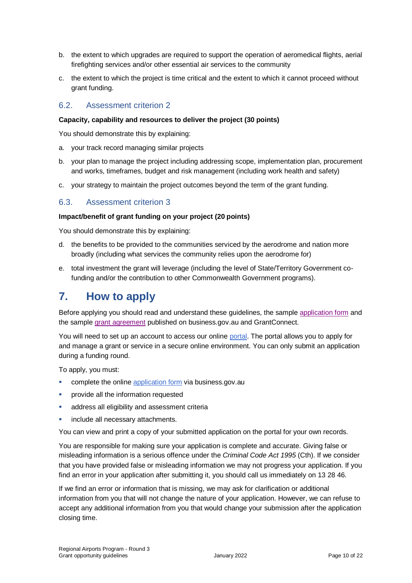- b. the extent to which upgrades are required to support the operation of aeromedical flights, aerial firefighting services and/or other essential air services to the community
- c. the extent to which the project is time critical and the extent to which it cannot proceed without grant funding.

#### 6.2. Assessment criterion 2

#### **Capacity, capability and resources to deliver the project (30 points)**

You should demonstrate this by explaining:

- a. your track record managing similar projects
- b. your plan to manage the project including addressing scope, implementation plan, procurement and works, timeframes, budget and risk management (including work health and safety)
- c. your strategy to maintain the project outcomes beyond the term of the grant funding.

#### 6.3. Assessment criterion 3

#### **Impact/benefit of grant funding on your project (20 points)**

You should demonstrate this by explaining:

- d. the benefits to be provided to the communities serviced by the aerodrome and nation more broadly (including what services the community relies upon the aerodrome for)
- e. total investment the grant will leverage (including the level of State/Territory Government cofunding and/or the contribution to other Commonwealth Government programs).

# **7. How to apply**

Before applying you should read and understand these guidelines, the sample [application form](https://business.gov.au/grants-and-programs/regional-airports-program-round-3#key-documents) and the sampl[e grant agreement](https://business.gov.au/grants-and-programs/regional-airports-program-round-3#key-documents) published on business.gov.au and GrantConnect.

You will need to set up an account to access our online [portal.](https://portal.business.gov.au/) The portal allows you to apply for and manage a grant or service in a secure online environment. You can only submit an application during a funding round.

To apply, you must:

- complete the online [application form](https://business.gov.au/grants-and-programs/regional-airports-program-round-3) via business.gov.au
- provide all the information requested
- **address all eligibility and assessment criterially**
- include all necessary attachments.

You can view and print a copy of your submitted application on the portal for your own records.

You are responsible for making sure your application is complete and accurate. Giving false or misleading information is a serious offence under the *Criminal Code Act 1995* (Cth). If we consider that you have provided false or misleading information we may not progress your application. If you find an error in your application after submitting it, you should call us immediately on 13 28 46.

If we find an error or information that is missing, we may ask for clarification or additional information from you that will not change the nature of your application. However, we can refuse to accept any additional information from you that would change your submission after the application closing time.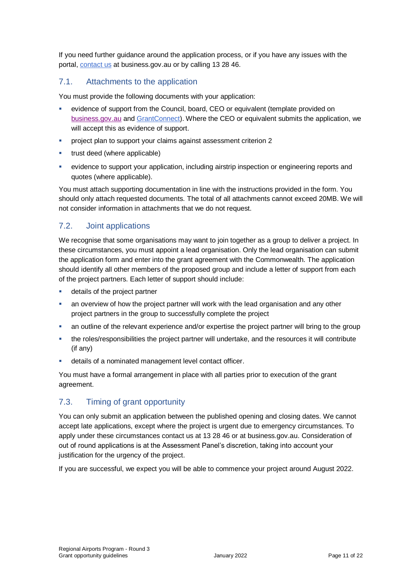If you need further guidance around the application process, or if you have any issues with the portal, [contact us](https://www.business.gov.au/contact-us) at business.gov.au or by calling 13 28 46.

### 7.1. Attachments to the application

You must provide the following documents with your application:

- evidence of support from the Council, board, CEO or equivalent (template provided on [business.gov.au](https://business.gov.au/grants-and-programs/regional-airports-program-round-3#key-documents) an[d GrantConnect\)](http://www.grants.gov.au/). Where the CEO or equivalent submits the application, we will accept this as evidence of support.
- **•** project plan to support your claims against assessment criterion 2
- **trust deed (where applicable)**
- evidence to support your application, including airstrip inspection or engineering reports and quotes (where applicable).

You must attach supporting documentation in line with the instructions provided in the form. You should only attach requested documents. The total of all attachments cannot exceed 20MB. We will not consider information in attachments that we do not request.

# <span id="page-10-0"></span>7.2. Joint applications

We recognise that some organisations may want to join together as a group to deliver a project. In these circumstances, you must appoint a lead organisation. Only the lead organisation can submit the application form and enter into the grant agreement with the Commonwealth. The application should identify all other members of the proposed group and include a letter of support from each of the project partners. Each letter of support should include:

- details of the project partner
- an overview of how the project partner will work with the lead organisation and any other project partners in the group to successfully complete the project
- an outline of the relevant experience and/or expertise the project partner will bring to the group
- the roles/responsibilities the project partner will undertake, and the resources it will contribute (if any)
- details of a nominated management level contact officer.

You must have a formal arrangement in place with all parties prior to execution of the grant agreement.

# 7.3. Timing of grant opportunity

You can only submit an application between the published opening and closing dates. We cannot accept late applications, except where the project is urgent due to emergency circumstances. To apply under these circumstances contact us at 13 28 46 or at business.gov.au. Consideration of out of round applications is at the Assessment Panel's discretion, taking into account your justification for the urgency of the project.

If you are successful, we expect you will be able to commence your project around August 2022.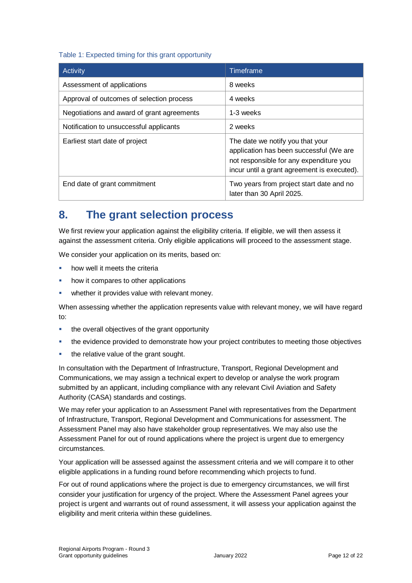#### Table 1: Expected timing for this grant opportunity

| Activity                                   | Timeframe                                                                                                                                                             |
|--------------------------------------------|-----------------------------------------------------------------------------------------------------------------------------------------------------------------------|
| Assessment of applications                 | 8 weeks                                                                                                                                                               |
| Approval of outcomes of selection process  | 4 weeks                                                                                                                                                               |
| Negotiations and award of grant agreements | 1-3 weeks                                                                                                                                                             |
| Notification to unsuccessful applicants    | 2 weeks                                                                                                                                                               |
| Earliest start date of project             | The date we notify you that your<br>application has been successful (We are<br>not responsible for any expenditure you<br>incur until a grant agreement is executed). |
| End date of grant commitment               | Two years from project start date and no<br>later than 30 April 2025.                                                                                                 |

# **8. The grant selection process**

We first review your application against the eligibility criteria. If eligible, we will then assess it against the assessment criteria. Only eligible applications will proceed to the assessment stage.

We consider your application on its merits, based on:

- how well it meets the criteria
- how it compares to other applications
- whether it provides value with relevant money.

When assessing whether the application represents value with relevant money, we will have regard to:

- the overall objectives of the grant opportunity
- the evidence provided to demonstrate how your project contributes to meeting those objectives
- the relative value of the grant sought.

In consultation with the Department of Infrastructure, Transport, Regional Development and Communications, we may assign a technical expert to develop or analyse the work program submitted by an applicant, including compliance with any relevant Civil Aviation and Safety Authority (CASA) standards and costings.

We may refer your application to an Assessment Panel with representatives from the Department of Infrastructure, Transport, Regional Development and Communications for assessment. The Assessment Panel may also have stakeholder group representatives. We may also use the Assessment Panel for out of round applications where the project is urgent due to emergency circumstances.

Your application will be assessed against the assessment criteria and we will compare it to other eligible applications in a funding round before recommending which projects to fund.

For out of round applications where the project is due to emergency circumstances, we will first consider your justification for urgency of the project. Where the Assessment Panel agrees your project is urgent and warrants out of round assessment, it will assess your application against the eligibility and merit criteria within these guidelines.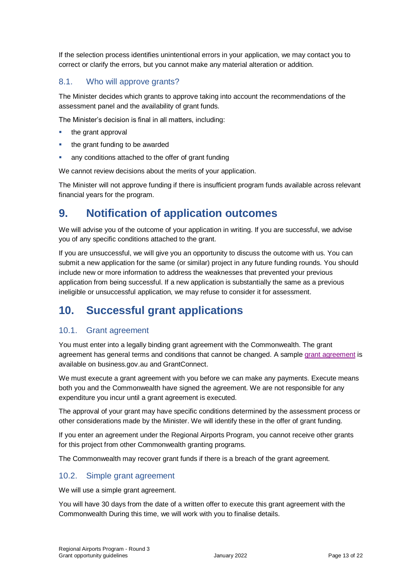If the selection process identifies unintentional errors in your application, we may contact you to correct or clarify the errors, but you cannot make any material alteration or addition.

# 8.1. Who will approve grants?

The Minister decides which grants to approve taking into account the recommendations of the assessment panel and the availability of grant funds.

The Minister's decision is final in all matters, including:

- the grant approval
- **the grant funding to be awarded**
- any conditions attached to the offer of grant funding

We cannot review decisions about the merits of your application.

The Minister will not approve funding if there is insufficient program funds available across relevant financial years for the program.

# **9. Notification of application outcomes**

We will advise you of the outcome of your application in writing. If you are successful, we advise you of any specific conditions attached to the grant.

If you are unsuccessful, we will give you an opportunity to discuss the outcome with us. You can submit a new application for the same (or similar) project in any future funding rounds. You should include new or more information to address the weaknesses that prevented your previous application from being successful. If a new application is substantially the same as a previous ineligible or unsuccessful application, we may refuse to consider it for assessment.

# **10. Successful grant applications**

### 10.1. Grant agreement

You must enter into a legally binding grant agreement with the Commonwealth. The grant agreement has general terms and conditions that cannot be changed. A sample [grant agreement](https://business.gov.au/grants-and-programs/regional-airports-program-round-3#key-documents) is available on business.gov.au and GrantConnect.

We must execute a grant agreement with you before we can make any payments. Execute means both you and the Commonwealth have signed the agreement. We are not responsible for any expenditure you incur until a grant agreement is executed.

The approval of your grant may have specific conditions determined by the assessment process or other considerations made by the Minister. We will identify these in the offer of grant funding.

If you enter an agreement under the Regional Airports Program, you cannot receive other grants for this project from other Commonwealth granting programs.

The Commonwealth may recover grant funds if there is a breach of the grant agreement.

### 10.2. Simple grant agreement

We will use a simple grant agreement.

You will have 30 days from the date of a written offer to execute this grant agreement with the Commonwealth During this time, we will work with you to finalise details.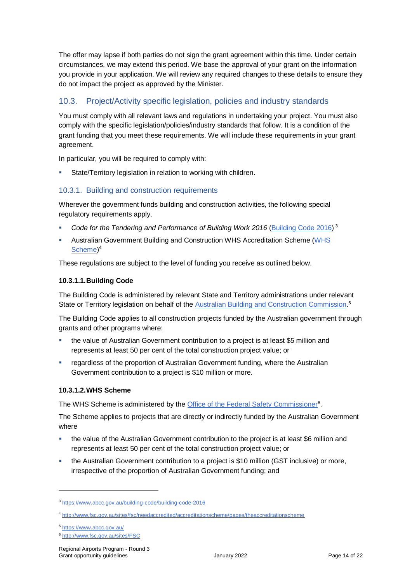The offer may lapse if both parties do not sign the grant agreement within this time. Under certain circumstances, we may extend this period. We base the approval of your grant on the information you provide in your application. We will review any required changes to these details to ensure they do not impact the project as approved by the Minister.

# 10.3. Project/Activity specific legislation, policies and industry standards

You must comply with all relevant laws and regulations in undertaking your project. You must also comply with the specific legislation/policies/industry standards that follow. It is a condition of the grant funding that you meet these requirements. We will include these requirements in your grant agreement.

In particular, you will be required to comply with:

State/Territory legislation in relation to working with children.

#### 10.3.1. Building and construction requirements

Wherever the government funds building and construction activities, the following special regulatory requirements apply.

- Code for the Tendering and Performance of Building Work 2016 [\(Building Code 2016\)](https://www.abcc.gov.au/building-code/building-code-2016)<sup>3</sup>
- Australian Government Building and Construction WHS Accreditation Scheme [\(WHS](http://www.fsc.gov.au/sites/fsc/needaccredited/accreditationscheme/pages/theaccreditationscheme)  [Scheme\)](http://www.fsc.gov.au/sites/fsc/needaccredited/accreditationscheme/pages/theaccreditationscheme)<sup>4</sup>

These regulations are subject to the level of funding you receive as outlined below.

#### **10.3.1.1.Building Code**

The Building Code is administered by relevant State and Territory administrations under relevant State or Territory legislation on behalf of the **Australian Building and Construction Commission**.<sup>5</sup>

The Building Code applies to all construction projects funded by the Australian government through grants and other programs where:

- the value of Australian Government contribution to a project is at least \$5 million and represents at least 50 per cent of the total construction project value; or
- **•** regardless of the proportion of Australian Government funding, where the Australian Government contribution to a project is \$10 million or more.

#### **10.3.1.2.WHS Scheme**

The WHS Scheme is administered by the **Office of the Federal Safety Commissioner**<sup>6</sup>.

The Scheme applies to projects that are directly or indirectly funded by the Australian Government where

- the value of the Australian Government contribution to the project is at least \$6 million and represents at least 50 per cent of the total construction project value; or
- the Australian Government contribution to a project is \$10 million (GST inclusive) or more, irrespective of the proportion of Australian Government funding; and

<sup>3</sup> <https://www.abcc.gov.au/building-code/building-code-2016>

<sup>4</sup> <http://www.fsc.gov.au/sites/fsc/needaccredited/accreditationscheme/pages/theaccreditationscheme>

<sup>5</sup> <https://www.abcc.gov.au/>

<sup>6</sup> <http://www.fsc.gov.au/sites/FSC>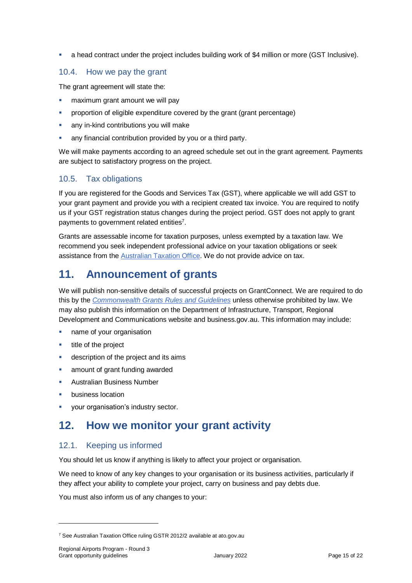a head contract under the project includes building work of \$4 million or more (GST Inclusive).

#### 10.4. How we pay the grant

The grant agreement will state the:

- **maximum grant amount we will pay**
- proportion of eligible expenditure covered by the grant (grant percentage)
- any in-kind contributions you will make
- any financial contribution provided by you or a third party.

We will make payments according to an agreed schedule set out in the grant agreement. Payments are subject to satisfactory progress on the project.

### 10.5. Tax obligations

If you are registered for the Goods and Services Tax (GST), where applicable we will add GST to your grant payment and provide you with a recipient created tax invoice. You are required to notify us if your GST registration status changes during the project period. GST does not apply to grant payments to government related entities<sup>7</sup>.

Grants are assessable income for taxation purposes, unless exempted by a taxation law. We recommend you seek independent professional advice on your taxation obligations or seek assistance from the [Australian Taxation Office.](https://www.ato.gov.au/) We do not provide advice on tax.

# **11. Announcement of grants**

We will publish non-sensitive details of successful projects on GrantConnect. We are required to do this by the *[Commonwealth Grants Rules and Guidelines](https://www.finance.gov.au/government/commonwealth-grants/commonwealth-grants-rules-guidelines)* unless otherwise prohibited by law. We may also publish this information on the Department of Infrastructure, Transport, Regional Development and Communications website and business.gov.au. This information may include:

- name of your organisation
- **title of the project**
- description of the project and its aims
- amount of grant funding awarded
- Australian Business Number
- business location
- your organisation's industry sector.

# **12. How we monitor your grant activity**

### 12.1. Keeping us informed

You should let us know if anything is likely to affect your project or organisation.

We need to know of any key changes to your organisation or its business activities, particularly if they affect your ability to complete your project, carry on business and pay debts due.

You must also inform us of any changes to your:

<sup>7</sup> See Australian Taxation Office ruling GSTR 2012/2 available at ato.gov.au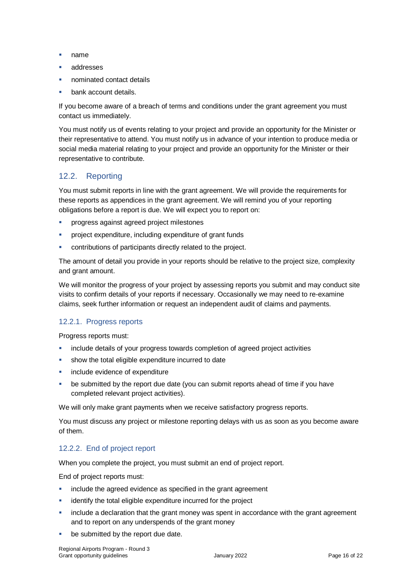- name
- addresses
- nominated contact details
- bank account details.

If you become aware of a breach of terms and conditions under the grant agreement you must contact us immediately.

You must notify us of events relating to your project and provide an opportunity for the Minister or their representative to attend. You must notify us in advance of your intention to produce media or social media material relating to your project and provide an opportunity for the Minister or their representative to contribute.

# 12.2. Reporting

You must submit reports in line with the [grant agreement.](file://///prod.protected.ind/User/user03/LLau2/insert%20link%20here) We will provide the requirements for these reports as appendices in the grant agreement. We will remind you of your reporting obligations before a report is due. We will expect you to report on:

- **PEDRITE:** progress against agreed project milestones
- **Profect expenditure, including expenditure of grant funds**
- contributions of participants directly related to the project.

The amount of detail you provide in your reports should be relative to the project size, complexity and grant amount.

We will monitor the progress of your project by assessing reports you submit and may conduct site visits to confirm details of your reports if necessary. Occasionally we may need to re-examine claims, seek further information or request an independent audit of claims and payments.

#### 12.2.1. Progress reports

Progress reports must:

- **EXEDENT** include details of your progress towards completion of agreed project activities
- show the total eligible expenditure incurred to date
- include evidence of expenditure
- be submitted by the report due date (you can submit reports ahead of time if you have completed relevant project activities).

We will only make grant payments when we receive satisfactory progress reports.

You must discuss any project or milestone reporting delays with us as soon as you become aware of them.

### 12.2.2. End of project report

When you complete the project, you must submit an end of project report.

End of project reports must:

- **EXECT** include the agreed evidence as specified in the grant agreement
- identify the total eligible expenditure incurred for the project
- include a declaration that the grant money was spent in accordance with the grant agreement and to report on any underspends of the grant money
- **be submitted by the report due date.**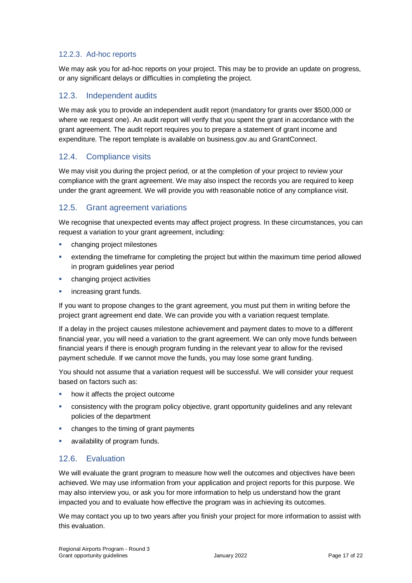#### 12.2.3. Ad-hoc reports

We may ask you for ad-hoc reports on your project. This may be to provide an update on progress, or any significant delays or difficulties in completing the project.

#### 12.3. Independent audits

We may ask you to provide an independent audit report (mandatory for grants over \$500,000 or where we request one). An audit report will verify that you spent the grant in accordance with the grant agreement. The audit report requires you to prepare a statement of grant income and expenditure. The report template is available on business.gov.au and GrantConnect.

#### 12.4. Compliance visits

We may visit you during the project period, or at the completion of your project to review your compliance with the grant agreement. We may also inspect the records you are required to keep under the grant agreement. We will provide you with reasonable notice of any compliance visit.

### 12.5. Grant agreement variations

We recognise that unexpected events may affect project progress. In these circumstances, you can request a variation to your grant agreement, including:

- changing project milestones
- extending the timeframe for completing the project but within the maximum time period allowed in program guidelines year period
- **•** changing project activities
- increasing grant funds.

If you want to propose changes to the grant agreement, you must put them in writing before the project grant agreement end date. We can provide you with a variation request template.

If a delay in the project causes milestone achievement and payment dates to move to a different financial year, you will need a variation to the grant agreement. We can only move funds between financial years if there is enough program funding in the relevant year to allow for the revised payment schedule. If we cannot move the funds, you may lose some grant funding.

You should not assume that a variation request will be successful. We will consider your request based on factors such as:

- how it affects the project outcome
- consistency with the program policy objective, grant opportunity guidelines and any relevant policies of the department
- changes to the timing of grant payments
- availability of program funds.

### 12.6. Evaluation

We will evaluate the grant program to measure how well the outcomes and objectives have been achieved. We may use information from your application and project reports for this purpose. We may also interview you, or ask you for more information to help us understand how the grant impacted you and to evaluate how effective the program was in achieving its outcomes.

We may contact you up to two years after you finish your project for more information to assist with this evaluation.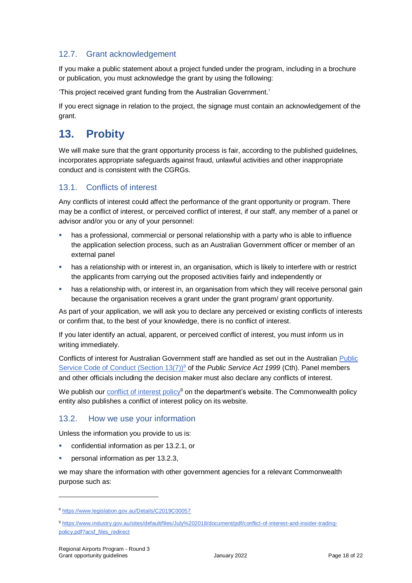# 12.7. Grant acknowledgement

If you make a public statement about a project funded under the program, including in a brochure or publication, you must acknowledge the grant by using the following:

'This project received grant funding from the Australian Government.'

If you erect signage in relation to the project, the signage must contain an acknowledgement of the grant.

# **13. Probity**

We will make sure that the grant opportunity process is fair, according to the published guidelines, incorporates appropriate safeguards against fraud, unlawful activities and other inappropriate conduct and is consistent with the CGRGs.

# 13.1. Conflicts of interest

Any conflicts of interest could affect the performance of the grant opportunity or program. There may be a [conflict of interest,](http://www.apsc.gov.au/publications-and-media/current-publications/aps-values-and-code-of-conduct-in-practice/conflict-of-interest) or perceived conflict of interest, if our staff, any member of a panel or advisor and/or you or any of your personnel:

- has a professional, commercial or personal relationship with a party who is able to influence the application selection process, such as an Australian Government officer or member of an external panel
- **•** has a relationship with or interest in, an organisation, which is likely to interfere with or restrict the applicants from carrying out the proposed activities fairly and independently or
- has a relationship with, or interest in, an organisation from which they will receive personal gain because the organisation receives a grant under the grant program/ grant opportunity.

As part of your application, we will ask you to declare any perceived or existing conflicts of interests or confirm that, to the best of your knowledge, there is no conflict of interest.

If you later identify an actual, apparent, or perceived conflict of interest, you must inform us in writing immediately.

Conflicts of interest for Australian Government staff are handled as set out in the Australian [Public](https://www.legislation.gov.au/Details/C2019C00057)  Service Code of Conduct (Section 13(7)<sup>8</sup> of the *Public Service Act 1999* (Cth). Panel members and other officials including the decision maker must also declare any conflicts of interest.

We publish our [conflict of interest policy](https://www.industry.gov.au/sites/g/files/net3906/f/July%202018/document/pdf/conflict-of-interest-and-insider-trading-policy.pdf)<sup>9</sup> on the department's website. The Commonwealth policy entity also publishes a conflict of interest policy on its website.

### 13.2. How we use your information

Unless the information you provide to us is:

- confidential information as per [13.2.1,](#page-18-0) or
- **personal information as per [13.2.3,](#page-18-1)**

we may share the information with other government agencies for a relevant Commonwealth purpose such as:

<sup>8</sup> https://www.legislation.gov.au/Details/C2019C00057

<sup>9</sup> [https://www.industry.gov.au/sites/default/files/July%202018/document/pdf/conflict-of-interest-and-insider-trading](https://www.industry.gov.au/sites/default/files/July%202018/document/pdf/conflict-of-interest-and-insider-trading-policy.pdf?acsf_files_redirect)[policy.pdf?acsf\\_files\\_redirect](https://www.industry.gov.au/sites/default/files/July%202018/document/pdf/conflict-of-interest-and-insider-trading-policy.pdf?acsf_files_redirect)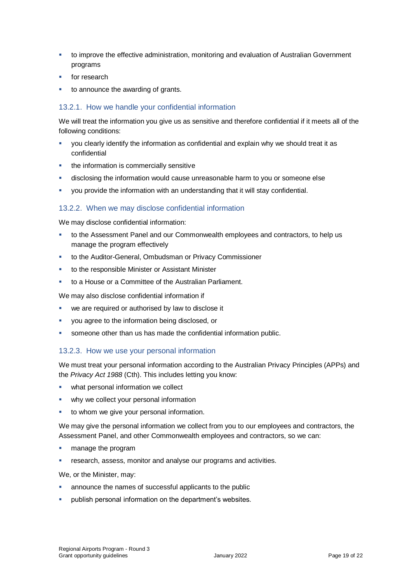- to improve the effective administration, monitoring and evaluation of Australian Government programs
- for research
- to announce the awarding of grants.

#### <span id="page-18-0"></span>13.2.1. How we handle your confidential information

We will treat the information you give us as sensitive and therefore confidential if it meets all of the following conditions:

- you clearly identify the information as confidential and explain why we should treat it as confidential
- the information is commercially sensitive
- disclosing the information would cause unreasonable harm to you or someone else
- you provide the information with an understanding that it will stay confidential.

#### 13.2.2. When we may disclose confidential information

We may disclose confidential information:

- to the Assessment Panel and our Commonwealth employees and contractors, to help us manage the program effectively
- to the Auditor-General, Ombudsman or Privacy Commissioner
- to the responsible Minister or Assistant Minister
- to a House or a Committee of the Australian Parliament.

We may also disclose confidential information if

- we are required or authorised by law to disclose it
- you agree to the information being disclosed, or
- someone other than us has made the confidential information public.

#### <span id="page-18-1"></span>13.2.3. How we use your personal information

We must treat your personal information according to the Australian Privacy Principles (APPs) and the *Privacy Act 1988* (Cth). This includes letting you know:

- **•** what personal information we collect
- why we collect your personal information
- to whom we give your personal information.

We may give the personal information we collect from you to our employees and contractors, the Assessment Panel, and other Commonwealth employees and contractors, so we can:

- manage the program
- research, assess, monitor and analyse our programs and activities.

We, or the Minister, may:

- announce the names of successful applicants to the public
- publish personal information on the department's websites.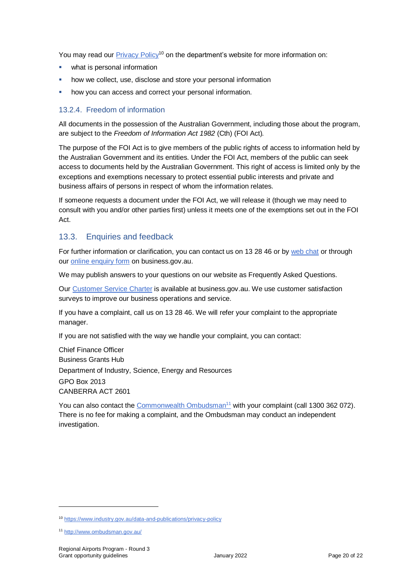You may read our [Privacy Policy](https://www.industry.gov.au/data-and-publications/privacy-policy)<sup>10</sup> on the department's website for more information on:

- what is personal information
- how we collect, use, disclose and store your personal information
- how you can access and correct your personal information.

#### 13.2.4. Freedom of information

All documents in the possession of the Australian Government, including those about the program, are subject to the *Freedom of Information Act 1982* (Cth) (FOI Act)*.*

The purpose of the FOI Act is to give members of the public rights of access to information held by the Australian Government and its entities. Under the FOI Act, members of the public can seek access to documents held by the Australian Government. This right of access is limited only by the exceptions and exemptions necessary to protect essential public interests and private and business affairs of persons in respect of whom the information relates.

If someone requests a document under the FOI Act, we will release it (though we may need to consult with you and/or other parties first) unless it meets one of the exemptions set out in the FOI Act.

### 13.3. Enquiries and feedback

For further information or clarification, you can contact us on 13 28 46 or by [web chat](https://www.business.gov.au/contact-us) or through our [online enquiry form](http://www.business.gov.au/contact-us/Pages/default.aspx) on business.gov.au.

We may publish answers to your questions on our website as Frequently Asked Questions.

Our [Customer Service Charter](https://www.business.gov.au/about/customer-service-charter) is available at [business.gov.au.](http://www.business.gov.au/) We use customer satisfaction surveys to improve our business operations and service.

If you have a complaint, call us on 13 28 46. We will refer your complaint to the appropriate manager.

If you are not satisfied with the way we handle your complaint, you can contact:

Chief Finance Officer Business Grants Hub Department of Industry, Science, Energy and Resources GPO Box 2013 CANBERRA ACT 2601

You can also contact the [Commonwealth Ombudsman](http://www.ombudsman.gov.au/)<sup>11</sup> with your complaint (call 1300 362 072). There is no fee for making a complaint, and the Ombudsman may conduct an independent investigation.

<sup>10</sup> <https://www.industry.gov.au/data-and-publications/privacy-policy>

<sup>11</sup> <http://www.ombudsman.gov.au/>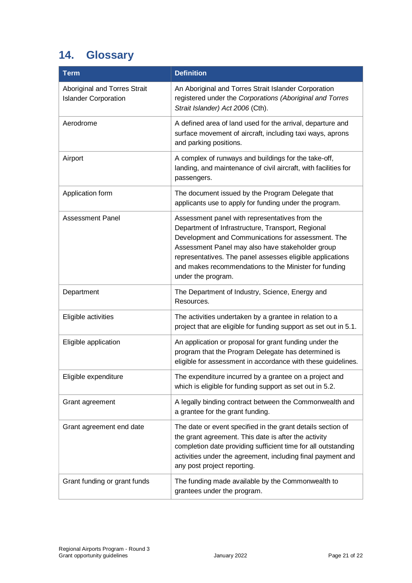# <span id="page-20-0"></span>**14. Glossary**

| <b>Term</b>                                                 | <b>Definition</b>                                                                                                                                                                                                                                                                                                                                         |
|-------------------------------------------------------------|-----------------------------------------------------------------------------------------------------------------------------------------------------------------------------------------------------------------------------------------------------------------------------------------------------------------------------------------------------------|
| Aboriginal and Torres Strait<br><b>Islander Corporation</b> | An Aboriginal and Torres Strait Islander Corporation<br>registered under the Corporations (Aboriginal and Torres<br>Strait Islander) Act 2006 (Cth).                                                                                                                                                                                                      |
| Aerodrome                                                   | A defined area of land used for the arrival, departure and<br>surface movement of aircraft, including taxi ways, aprons<br>and parking positions.                                                                                                                                                                                                         |
| Airport                                                     | A complex of runways and buildings for the take-off,<br>landing, and maintenance of civil aircraft, with facilities for<br>passengers.                                                                                                                                                                                                                    |
| Application form                                            | The document issued by the Program Delegate that<br>applicants use to apply for funding under the program.                                                                                                                                                                                                                                                |
| <b>Assessment Panel</b>                                     | Assessment panel with representatives from the<br>Department of Infrastructure, Transport, Regional<br>Development and Communications for assessment. The<br>Assessment Panel may also have stakeholder group<br>representatives. The panel assesses eligible applications<br>and makes recommendations to the Minister for funding<br>under the program. |
| Department                                                  | The Department of Industry, Science, Energy and<br>Resources.                                                                                                                                                                                                                                                                                             |
| Eligible activities                                         | The activities undertaken by a grantee in relation to a<br>project that are eligible for funding support as set out in 5.1.                                                                                                                                                                                                                               |
| Eligible application                                        | An application or proposal for grant funding under the<br>program that the Program Delegate has determined is<br>eligible for assessment in accordance with these guidelines.                                                                                                                                                                             |
| Eligible expenditure                                        | The expenditure incurred by a grantee on a project and<br>which is eligible for funding support as set out in 5.2.                                                                                                                                                                                                                                        |
| Grant agreement                                             | A legally binding contract between the Commonwealth and<br>a grantee for the grant funding.                                                                                                                                                                                                                                                               |
| Grant agreement end date                                    | The date or event specified in the grant details section of<br>the grant agreement. This date is after the activity<br>completion date providing sufficient time for all outstanding<br>activities under the agreement, including final payment and<br>any post project reporting.                                                                        |
| Grant funding or grant funds                                | The funding made available by the Commonwealth to<br>grantees under the program.                                                                                                                                                                                                                                                                          |